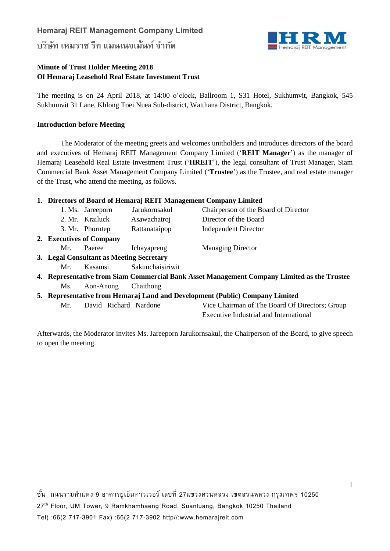# **Hemaraj REIT Management Company Limited บริษทั เหมราช รีท แมนเนจเม้นท ์ จา กดั**



### **Minute of Trust Holder Meeting 2018 Of Hemaraj Leasehold Real Estate Investment Trust**

The meeting is on 24 April 2018, at 14:00 o'clock, Ballroom 1, S31 Hotel, Sukhumvit, Bangkok, 545 Sukhumvit 31 Lane, Khlong Toei Nuea Sub-district, Watthana District, Bangkok.

### **Introduction before Meeting**

The Moderator of the meeting greets and welcomes unitholders and introduces directors of the board and executives of Hemaraj REIT Management Company Limited ('**REIT Manager**') as the manager of Hemaraj Leasehold Real Estate Investment Trust ('**HREIT**'), the legal consultant of Trust Manager, Siam Commercial Bank Asset Management Company Limited ('**Trustee**') as the Trustee, and real estate manager of the Trust, who attend the meeting, as follows.

### **1. Directors of Board of Hemaraj REIT Management Company Limited**

|                          |                                          | 1. Ms. Jareeporn | Jarukornsakul    | Chairperson of the Board of Director |  |  |
|--------------------------|------------------------------------------|------------------|------------------|--------------------------------------|--|--|
|                          |                                          | 2. Mr. Krailuck  | Asawachatroj     | Director of the Board                |  |  |
|                          |                                          | 3. Mr. Phorntep  | Rattanataipop    | <b>Independent Director</b>          |  |  |
| 2. Executives of Company |                                          |                  |                  |                                      |  |  |
|                          | Mr.                                      | Paeree           | Ichayapreug      | <b>Managing Director</b>             |  |  |
|                          | 3. Legal Consultant as Meeting Secretary |                  |                  |                                      |  |  |
|                          |                                          | Mr. Kasamsi      | Sakunchaisiriwit |                                      |  |  |

- **4. Representative from Siam Commercial Bank Asset Management Company Limited as the Trustee** Ms. Aon-Anong Chaithong
- **5. Representative from Hemaraj Land and Development (Public) Company Limited**
	- Mr. David Richard Nardone Vice Chairman of The Board Of Directors; Group Executive Industrial and International

Afterwards, the Moderator invites Ms. Jareeporn Jarukornsakul, the Chairperson of the Board, to give speech to open the meeting.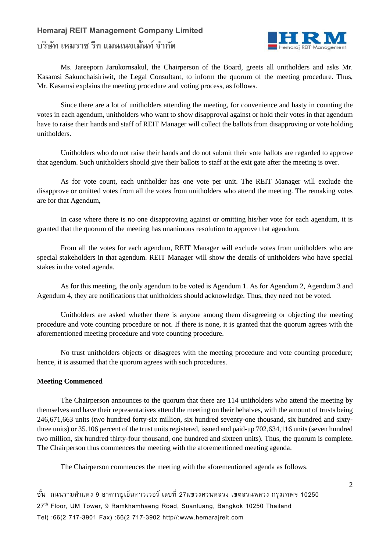# **บริษทั เหมราช รีท แมนเนจเม้นท ์ จา กดั**



Ms. Jareeporn Jarukornsakul, the Chairperson of the Board, greets all unitholders and asks Mr. Kasamsi Sakunchaisiriwit, the Legal Consultant, to inform the quorum of the meeting procedure. Thus, Mr. Kasamsi explains the meeting procedure and voting process, as follows.

Since there are a lot of unitholders attending the meeting, for convenience and hasty in counting the votes in each agendum, unitholders who want to show disapproval against or hold their votes in that agendum have to raise their hands and staff of REIT Manager will collect the ballots from disapproving or vote holding unitholders.

Unitholders who do not raise their hands and do not submit their vote ballots are regarded to approve that agendum. Such unitholders should give their ballots to staff at the exit gate after the meeting is over.

As for vote count, each unitholder has one vote per unit. The REIT Manager will exclude the disapprove or omitted votes from all the votes from unitholders who attend the meeting. The remaking votes are for that Agendum,

In case where there is no one disapproving against or omitting his/her vote for each agendum, it is granted that the quorum of the meeting has unanimous resolution to approve that agendum.

From all the votes for each agendum, REIT Manager will exclude votes from unitholders who are special stakeholders in that agendum. REIT Manager will show the details of unitholders who have special stakes in the voted agenda.

As for this meeting, the only agendum to be voted is Agendum 1. As for Agendum 2, Agendum 3 and Agendum 4, they are notifications that unitholders should acknowledge. Thus, they need not be voted.

Unitholders are asked whether there is anyone among them disagreeing or objecting the meeting procedure and vote counting procedure or not. If there is none, it is granted that the quorum agrees with the aforementioned meeting procedure and vote counting procedure.

No trust unitholders objects or disagrees with the meeting procedure and vote counting procedure; hence, it is assumed that the quorum agrees with such procedures.

#### **Meeting Commenced**

The Chairperson announces to the quorum that there are 114 unitholders who attend the meeting by themselves and have their representatives attend the meeting on their behalves, with the amount of trusts being 246,671,663 units (two hundred forty-six million, six hundred seventy-one thousand, six hundred and sixtythree units) or 35.106 percent of the trust units registered, issued and paid-up 702,634,116 units (seven hundred two million, six hundred thirty-four thousand, one hundred and sixteen units). Thus, the quorum is complete. The Chairperson thus commences the meeting with the aforementioned meeting agenda.

The Chairperson commences the meeting with the aforementioned agenda as follows.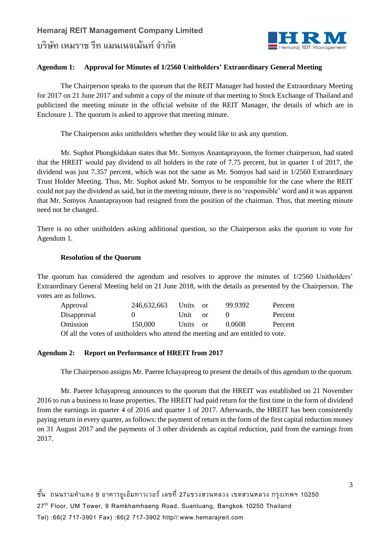

### **Agendum 1: Approval for Minutes of 1/2560 Unitholders' Extraordinary General Meeting**

The Chairperson speaks to the quorum that the REIT Manager had hosted the Extraordinary Meeting for 2017 on 21 June 2017 and submit a copy of the minute of that meeting to Stock Exchange of Thailand and publicized the meeting minute in the official website of the REIT Manager, the details of which are in Enclosure 1. The quorum is asked to approve that meeting minute.

The Chairperson asks unitholders whether they would like to ask any question.

Mr. Suphot Phongkidakan states that Mr. Somyos Anantaprayoon, the former chairperson, had stated that the HREIT would pay dividend to all holders in the rate of 7.75 percent, but in quarter 1 of 2017, the dividend was just 7.357 percent, which was not the same as Mr. Somyos had said in 1/2560 Extraordinary Trust Holder Meeting. Thus, Mr. Suphot asked Mr. Somyos to be responsible for the case where the REIT could not pay the dividend as said, but in the meeting minute, there is no 'responsible' word and it was apparent that Mr. Somyos Anantaprayoon had resigned from the position of the chairman. Thus, that meeting minute need not be changed.

There is no other unitholders asking additional question, so the Chairperson asks the quorum to vote for Agendum 1.

#### **Resolution of the Quorum**

The quorum has considered the agendum and resolves to approve the minutes of 1/2560 Unitholders' Extraordinary General Meeting held on 21 June 2018, with the details as presented by the Chairperson. The votes are as follows.

| Approval                                                                        | 246,632,663 | Units    | - or | 99.9392 | Percent |
|---------------------------------------------------------------------------------|-------------|----------|------|---------|---------|
| Disapproval                                                                     | $\theta$    | Unit or  |      |         | Percent |
| Omission                                                                        | 150,000     | Units or |      | 0.0608  | Percent |
| Of all the votes of unitholders who ettend the meeting and are entitled to yote |             |          |      |         |         |

Of all the votes of unitholders who attend the meeting and are entitled to vote.

#### **Agendum 2: Report on Performance of HREIT from 2017**

The Chairperson assigns Mr. Paeree Ichayapreug to present the details of this agendum to the quorum.

Mr. Paeree Ichayapreug announces to the quorum that the HREIT was established on 21 November 2016 to run a business to lease properties. The HREIT had paid return for the first time in the form of dividend from the earnings in quarter 4 of 2016 and quarter 1 of 2017. Afterwards, the HREIT has been consistently paying return in every quarter, as follows: the payment of return in the form of the first capital reduction money on 31 August 2017 and the payments of 3 other dividends as capital reduction, paid from the earnings from 2017.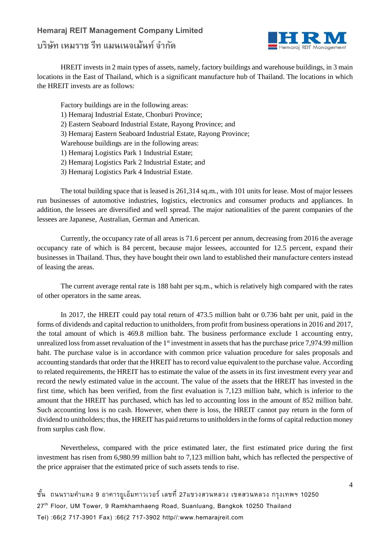# **บริษทั เหมราช รีท แมนเนจเม้นท ์ จา กดั**



HREIT invests in 2 main types of assets, namely, factory buildings and warehouse buildings, in 3 main locations in the East of Thailand, which is a significant manufacture hub of Thailand. The locations in which the HREIT invests are as follows:

Factory buildings are in the following areas: 1) Hemaraj Industrial Estate, Chonburi Province; 2) Eastern Seaboard Industrial Estate, Rayong Province; and 3) Hemaraj Eastern Seaboard Industrial Estate, Rayong Province; Warehouse buildings are in the following areas: 1) Hemaraj Logistics Park 1 Industrial Estate; 2) Hemaraj Logistics Park 2 Industrial Estate; and 3) Hemaraj Logistics Park 4 Industrial Estate.

The total building space that is leased is 261,314 sq.m., with 101 units for lease. Most of major lessees run businesses of automotive industries, logistics, electronics and consumer products and appliances. In addition, the lessees are diversified and well spread. The major nationalities of the parent companies of the lessees are Japanese, Australian, German and American.

Currently, the occupancy rate of all areas is 71.6 percent per annum, decreasing from 2016 the average occupancy rate of which is 84 percent, because major lessees, accounted for 12.5 percent, expand their businesses in Thailand. Thus, they have bought their own land to established their manufacture centers instead of leasing the areas.

The current average rental rate is 188 baht per sq.m., which is relatively high compared with the rates of other operators in the same areas.

In 2017, the HREIT could pay total return of 473.5 million baht or 0.736 baht per unit, paid in the forms of dividends and capital reduction to unitholders, from profit from business operations in 2016 and 2017, the total amount of which is 469.8 million baht. The business performance exclude 1 accounting entry, unrealized loss from asset revaluation of the  $1<sup>st</sup>$  investment in assets that has the purchase price 7,974.99 million baht. The purchase value is in accordance with common price valuation procedure for sales proposals and accounting standards that order that the HREIT has to record value equivalent to the purchase value. According to related requirements, the HREIT has to estimate the value of the assets in its first investment every year and record the newly estimated value in the account. The value of the assets that the HREIT has invested in the first time, which has been verified, from the first evaluation is 7,123 million baht, which is inferior to the amount that the HREIT has purchased, which has led to accounting loss in the amount of 852 million baht. Such accounting loss is no cash. However, when there is loss, the HREIT cannot pay return in the form of dividend to unitholders; thus, the HREIT has paid returns to unitholders in the forms of capital reduction money from surplus cash flow.

Nevertheless, compared with the price estimated later, the first estimated price during the first investment has risen from 6,980.99 million baht to 7,123 million baht, which has reflected the perspective of the price appraiser that the estimated price of such assets tends to rise.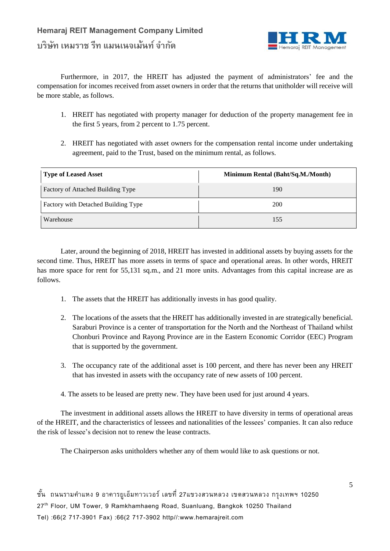

Furthermore, in 2017, the HREIT has adjusted the payment of administrators' fee and the compensation for incomes received from asset owners in order that the returns that unitholder will receive will be more stable, as follows.

- 1. HREIT has negotiated with property manager for deduction of the property management fee in the first 5 years, from 2 percent to 1.75 percent.
- 2. HREIT has negotiated with asset owners for the compensation rental income under undertaking agreement, paid to the Trust, based on the minimum rental, as follows.

| <b>Type of Leased Asset</b>         | Minimum Rental (Baht/Sq.M./Month) |  |  |
|-------------------------------------|-----------------------------------|--|--|
| Factory of Attached Building Type   | 190                               |  |  |
| Factory with Detached Building Type | 200                               |  |  |
| Warehouse                           | 155                               |  |  |

Later, around the beginning of 2018, HREIT has invested in additional assets by buying assets for the second time. Thus, HREIT has more assets in terms of space and operational areas. In other words, HREIT has more space for rent for 55,131 sq.m., and 21 more units. Advantages from this capital increase are as follows.

- 1. The assets that the HREIT has additionally invests in has good quality.
- 2. The locations of the assets that the HREIT has additionally invested in are strategically beneficial. Saraburi Province is a center of transportation for the North and the Northeast of Thailand whilst Chonburi Province and Rayong Province are in the Eastern Economic Corridor (EEC) Program that is supported by the government.
- 3. The occupancy rate of the additional asset is 100 percent, and there has never been any HREIT that has invested in assets with the occupancy rate of new assets of 100 percent.
- 4. The assets to be leased are pretty new. They have been used for just around 4 years.

The investment in additional assets allows the HREIT to have diversity in terms of operational areas of the HREIT, and the characteristics of lessees and nationalities of the lessees' companies. It can also reduce the risk of lessee's decision not to renew the lease contracts.

The Chairperson asks unitholders whether any of them would like to ask questions or not.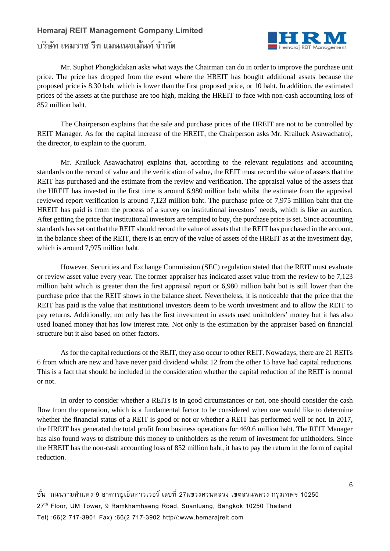# **บริษทั เหมราช รีท แมนเนจเม้นท ์ จา กดั**



Mr. Suphot Phongkidakan asks what ways the Chairman can do in order to improve the purchase unit price. The price has dropped from the event where the HREIT has bought additional assets because the proposed price is 8.30 baht which is lower than the first proposed price, or 10 baht. In addition, the estimated prices of the assets at the purchase are too high, making the HREIT to face with non-cash accounting loss of 852 million baht.

The Chairperson explains that the sale and purchase prices of the HREIT are not to be controlled by REIT Manager. As for the capital increase of the HREIT, the Chairperson asks Mr. Krailuck Asawachatroj, the director, to explain to the quorum.

Mr. Krailuck Asawachatroj explains that, according to the relevant regulations and accounting standards on the record of value and the verification of value, the REIT must record the value of assets that the REIT has purchased and the estimate from the review and verification. The appraisal value of the assets that the HREIT has invested in the first time is around 6,980 million baht whilst the estimate from the appraisal reviewed report verification is around 7,123 million baht. The purchase price of 7,975 million baht that the HREIT has paid is from the process of a survey on institutional investors' needs, which is like an auction. After getting the price that institutional investors are tempted to buy, the purchase price is set. Since accounting standards has set out that the REIT should record the value of assets that the REIT has purchased in the account, in the balance sheet of the REIT, there is an entry of the value of assets of the HREIT as at the investment day, which is around 7,975 million baht.

However, Securities and Exchange Commission (SEC) regulation stated that the REIT must evaluate or review asset value every year. The former appraiser has indicated asset value from the review to be 7,123 million baht which is greater than the first appraisal report or 6,980 million baht but is still lower than the purchase price that the REIT shows in the balance sheet. Nevertheless, it is noticeable that the price that the REIT has paid is the value that institutional investors deem to be worth investment and to allow the REIT to pay returns. Additionally, not only has the first investment in assets used unitholders' money but it has also used loaned money that has low interest rate. Not only is the estimation by the appraiser based on financial structure but it also based on other factors.

As for the capital reductions of the REIT, they also occur to other REIT. Nowadays, there are 21 REITs 6 from which are new and have never paid dividend whilst 12 from the other 15 have had capital reductions. This is a fact that should be included in the consideration whether the capital reduction of the REIT is normal or not.

In order to consider whether a REITs is in good circumstances or not, one should consider the cash flow from the operation, which is a fundamental factor to be considered when one would like to determine whether the financial status of a REIT is good or not or whether a REIT has performed well or not. In 2017, the HREIT has generated the total profit from business operations for 469.6 million baht. The REIT Manager has also found ways to distribute this money to unitholders as the return of investment for unitholders. Since the HREIT has the non-cash accounting loss of 852 million baht, it has to pay the return in the form of capital reduction.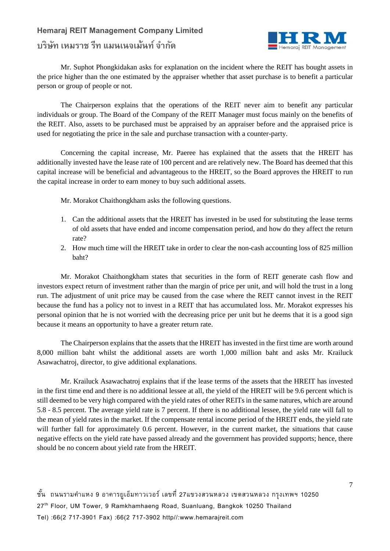# **บริษทั เหมราช รีท แมนเนจเม้นท ์ จา กดั**



Mr. Suphot Phongkidakan asks for explanation on the incident where the REIT has bought assets in the price higher than the one estimated by the appraiser whether that asset purchase is to benefit a particular person or group of people or not.

The Chairperson explains that the operations of the REIT never aim to benefit any particular individuals or group. The Board of the Company of the REIT Manager must focus mainly on the benefits of the REIT. Also, assets to be purchased must be appraised by an appraiser before and the appraised price is used for negotiating the price in the sale and purchase transaction with a counter-party.

Concerning the capital increase, Mr. Paeree has explained that the assets that the HREIT has additionally invested have the lease rate of 100 percent and are relatively new. The Board has deemed that this capital increase will be beneficial and advantageous to the HREIT, so the Board approves the HREIT to run the capital increase in order to earn money to buy such additional assets.

Mr. Morakot Chaithongkham asks the following questions.

- 1. Can the additional assets that the HREIT has invested in be used for substituting the lease terms of old assets that have ended and income compensation period, and how do they affect the return rate?
- 2. How much time will the HREIT take in order to clear the non-cash accounting loss of 825 million baht?

Mr. Morakot Chaithongkham states that securities in the form of REIT generate cash flow and investors expect return of investment rather than the margin of price per unit, and will hold the trust in a long run. The adjustment of unit price may be caused from the case where the REIT cannot invest in the REIT because the fund has a policy not to invest in a REIT that has accumulated loss. Mr. Morakot expresses his personal opinion that he is not worried with the decreasing price per unit but he deems that it is a good sign because it means an opportunity to have a greater return rate.

The Chairperson explains that the assets that the HREIT has invested in the first time are worth around 8,000 million baht whilst the additional assets are worth 1,000 million baht and asks Mr. Krailuck Asawachatroj, director, to give additional explanations.

Mr. Krailuck Asawachatroj explains that if the lease terms of the assets that the HREIT has invested in the first time end and there is no additional lessee at all, the yield of the HREIT will be 9.6 percent which is still deemed to be very high compared with the yield rates of other REITs in the same natures, which are around 5.8 - 8.5 percent. The average yield rate is 7 percent. If there is no additional lessee, the yield rate will fall to the mean of yield rates in the market. If the compensate rental income period of the HREIT ends, the yield rate will further fall for approximately 0.6 percent. However, in the current market, the situations that cause negative effects on the yield rate have passed already and the government has provided supports; hence, there should be no concern about yield rate from the HREIT.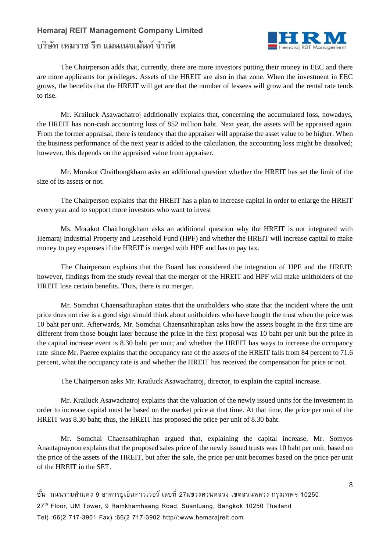# **Hemaraj REIT Management Company Limited บริษทั เหมราช รีท แมนเนจเม้นท ์ จา กดั**



The Chairperson adds that, currently, there are more investors putting their money in EEC and there are more applicants for privileges. Assets of the HREIT are also in that zone. When the investment in EEC grows, the benefits that the HREIT will get are that the number of lessees will grow and the rental rate tends to rise.

Mr. Krailuck Asawachatroj additionally explains that, concerning the accumulated loss, nowadays, the HREIT has non-cash accounting loss of 852 million baht. Next year, the assets will be appraised again. From the former appraisal, there is tendency that the appraiser will appraise the asset value to be higher. When the business performance of the next year is added to the calculation, the accounting loss might be dissolved; however, this depends on the appraised value from appraiser.

Mr. Morakot Chaithongkham asks an additional question whether the HREIT has set the limit of the size of its assets or not.

The Chairperson explains that the HREIT has a plan to increase capital in order to enlarge the HREIT every year and to support more investors who want to invest

Ms. Morakot Chaithongkham asks an additional question why the HREIT is not integrated with Hemaraj Industrial Property and Leasehold Fund (HPF) and whether the HREIT will increase capital to make money to pay expenses if the HREIT is merged with HPF and has to pay tax.

The Chairperson explains that the Board has considered the integration of HPF and the HREIT; however, findings from the study reveal that the merger of the HREIT and HPF will make unitholders of the HREIT lose certain benefits. Thus, there is no merger.

Mr. Somchai Chaensathiraphan states that the unitholders who state that the incident where the unit price does not rise is a good sign should think about unitholders who have bought the trust when the price was 10 baht per unit. Afterwards, Mr. Somchai Chaensathiraphan asks how the assets bought in the first time are different from those bought later because the price in the first proposal was 10 baht per unit but the price in the capital increase event is 8.30 baht per unit; and whether the HREIT has ways to increase the occupancy rate since Mr. Paeree explains that the occupancy rate of the assets of the HREIT falls from 84 percent to 71.6 percent, what the occupancy rate is and whether the HREIT has received the compensation for price or not.

The Chairperson asks Mr. Krailuck Asawachatroj, director, to explain the capital increase.

Mr. Krailuck Asawachatroj explains that the valuation of the newly issued units for the investment in order to increase capital must be based on the market price at that time. At that time, the price per unit of the HREIT was 8.30 baht; thus, the HREIT has proposed the price per unit of 8.30 baht.

Mr. Somchai Chaensathiraphan argued that, explaining the capital increase, Mr. Somyos Anantaprayoon explains that the proposed sales price of the newly issued trusts was 10 baht per unit, based on the price of the assets of the HREIT, but after the sale, the price per unit becomes based on the price per unit of the HREIT in the SET.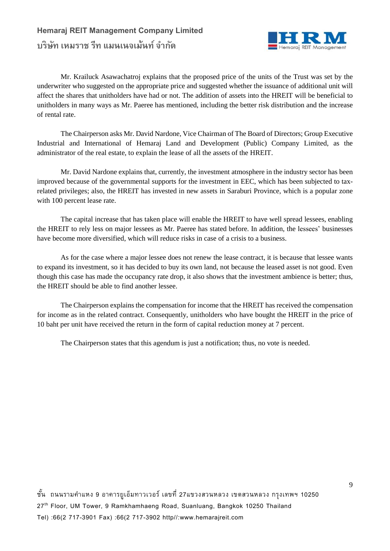

Mr. Krailuck Asawachatroj explains that the proposed price of the units of the Trust was set by the underwriter who suggested on the appropriate price and suggested whether the issuance of additional unit will affect the shares that unitholders have had or not. The addition of assets into the HREIT will be beneficial to unitholders in many ways as Mr. Paeree has mentioned, including the better risk distribution and the increase of rental rate.

The Chairperson asks Mr. David Nardone, Vice Chairman of The Board of Directors; Group Executive Industrial and International of Hemaraj Land and Development (Public) Company Limited, as the administrator of the real estate, to explain the lease of all the assets of the HREIT.

Mr. David Nardone explains that, currently, the investment atmosphere in the industry sector has been improved because of the governmental supports for the investment in EEC, which has been subjected to taxrelated privileges; also, the HREIT has invested in new assets in Saraburi Province, which is a popular zone with 100 percent lease rate.

The capital increase that has taken place will enable the HREIT to have well spread lessees, enabling the HREIT to rely less on major lessees as Mr. Paeree has stated before. In addition, the lessees' businesses have become more diversified, which will reduce risks in case of a crisis to a business.

As for the case where a major lessee does not renew the lease contract, it is because that lessee wants to expand its investment, so it has decided to buy its own land, not because the leased asset is not good. Even though this case has made the occupancy rate drop, it also shows that the investment ambience is better; thus, the HREIT should be able to find another lessee.

The Chairperson explains the compensation for income that the HREIT has received the compensation for income as in the related contract. Consequently, unitholders who have bought the HREIT in the price of 10 baht per unit have received the return in the form of capital reduction money at 7 percent.

The Chairperson states that this agendum is just a notification; thus, no vote is needed.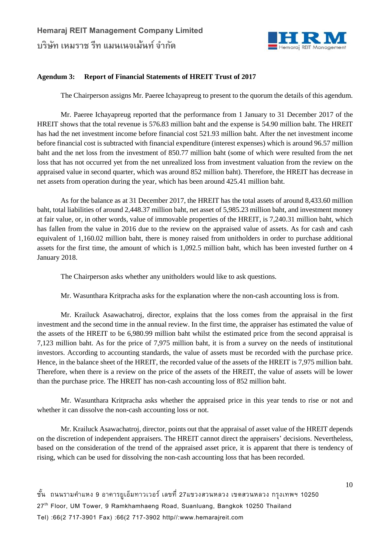

### **Agendum 3: Report of Financial Statements of HREIT Trust of 2017**

The Chairperson assigns Mr. Paeree Ichayapreug to present to the quorum the details of this agendum.

Mr. Paeree Ichayapreug reported that the performance from 1 January to 31 December 2017 of the HREIT shows that the total revenue is 576.83 million baht and the expense is 54.90 million baht. The HREIT has had the net investment income before financial cost 521.93 million baht. After the net investment income before financial cost is subtracted with financial expenditure (interest expenses) which is around 96.57 million baht and the net loss from the investment of 850.77 million baht (some of which were resulted from the net loss that has not occurred yet from the net unrealized loss from investment valuation from the review on the appraised value in second quarter, which was around 852 million baht). Therefore, the HREIT has decrease in net assets from operation during the year, which has been around 425.41 million baht.

As for the balance as at 31 December 2017, the HREIT has the total assets of around 8,433.60 million baht, total liabilities of around 2,448.37 million baht, net asset of 5,985.23 million baht, and investment money at fair value, or, in other words, value of immovable properties of the HREIT, is 7,240.31 million baht, which has fallen from the value in 2016 due to the review on the appraised value of assets. As for cash and cash equivalent of 1,160.02 million baht, there is money raised from unitholders in order to purchase additional assets for the first time, the amount of which is 1,092.5 million baht, which has been invested further on 4 January 2018.

The Chairperson asks whether any unitholders would like to ask questions.

Mr. Wasunthara Kritpracha asks for the explanation where the non-cash accounting loss is from.

Mr. Krailuck Asawachatroj, director, explains that the loss comes from the appraisal in the first investment and the second time in the annual review. In the first time, the appraiser has estimated the value of the assets of the HREIT to be 6,980.99 million baht whilst the estimated price from the second appraisal is 7,123 million baht. As for the price of 7,975 million baht, it is from a survey on the needs of institutional investors. According to accounting standards, the value of assets must be recorded with the purchase price. Hence, in the balance sheet of the HREIT, the recorded value of the assets of the HREIT is 7,975 million baht. Therefore, when there is a review on the price of the assets of the HREIT, the value of assets will be lower than the purchase price. The HREIT has non-cash accounting loss of 852 million baht.

Mr. Wasunthara Kritpracha asks whether the appraised price in this year tends to rise or not and whether it can dissolve the non-cash accounting loss or not.

Mr. Krailuck Asawachatroj, director, points out that the appraisal of asset value of the HREIT depends on the discretion of independent appraisers. The HREIT cannot direct the appraisers' decisions. Nevertheless, based on the consideration of the trend of the appraised asset price, it is apparent that there is tendency of rising, which can be used for dissolving the non-cash accounting loss that has been recorded.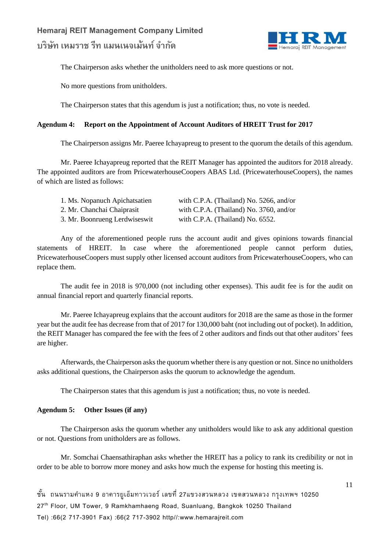

The Chairperson asks whether the unitholders need to ask more questions or not.

No more questions from unitholders.

The Chairperson states that this agendum is just a notification; thus, no vote is needed.

### **Agendum 4: Report on the Appointment of Account Auditors of HREIT Trust for 2017**

The Chairperson assigns Mr. Paeree Ichayapreug to present to the quorum the details of this agendum.

Mr. Paeree Ichayapreug reported that the REIT Manager has appointed the auditors for 2018 already. The appointed auditors are from PricewaterhouseCoopers ABAS Ltd. (PricewaterhouseCoopers), the names of which are listed as follows:

| 1. Ms. Nopanuch Apichatsatien | with C.P.A. (Thailand) No. 5266, and/or    |
|-------------------------------|--------------------------------------------|
| 2. Mr. Chanchai Chaiprasit    | with C.P.A. (Thailand) No. $3760$ , and/or |
| 3. Mr. Boonrueng Lerdwiseswit | with C.P.A. (Thailand) No. 6552.           |

Any of the aforementioned people runs the account audit and gives opinions towards financial statements of HREIT. In case where the aforementioned people cannot perform duties, PricewaterhouseCoopers must supply other licensed account auditors from PricewaterhouseCoopers, who can replace them.

The audit fee in 2018 is 970,000 (not including other expenses). This audit fee is for the audit on annual financial report and quarterly financial reports.

Mr. Paeree Ichayapreug explains that the account auditors for 2018 are the same as those in the former year but the audit fee has decrease from that of 2017 for 130,000 baht (not including out of pocket). In addition, the REIT Manager has compared the fee with the fees of 2 other auditors and finds out that other auditors' fees are higher.

Afterwards, the Chairperson asks the quorum whether there is any question or not. Since no unitholders asks additional questions, the Chairperson asks the quorum to acknowledge the agendum.

The Chairperson states that this agendum is just a notification; thus, no vote is needed.

#### **Agendum 5: Other Issues (if any)**

The Chairperson asks the quorum whether any unitholders would like to ask any additional question or not. Questions from unitholders are as follows.

Mr. Somchai Chaensathiraphan asks whether the HREIT has a policy to rank its credibility or not in order to be able to borrow more money and asks how much the expense for hosting this meeting is.